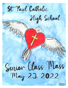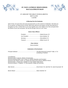

# **ST. PAUL CATHOLIC HIGH SCHOOL BACCALAUREATE MASS**



# ST. GREGORY THE GREAT CHURCH, BRISTOL MAY 23, 2022 6:30 PM

## *A Blessing from the Graduates*

*Spirit of God, rest upon those who have journeyed with us to this moment of celebration. We thank you for our parents, our family and our friends. Bless them with love and support, as they have blessed us throughout our lives. Comfort them as we move together into a new chapter of our lives and grant them the fullness of your love and peace. We ask this through Christ our Lord. Amen.*

#### *Senior Class Officers*

#### *Class Advisor*

*Norma Kendrick*

#### *Celebration of the Eucharist*

*Principal Celebrant .............................................................The Most Reverend Leonard P. Blair, S.T.D. Archbishop of Hartford* 

*Concelebrants: Reverend John E. Gancarz, Master of Ceremonies; Reverend Michael Whyte, Vicar, Center for Catholic Education and Formation; Reverend John Dietrich, Pastor, St. Gregory the Great Church and St. Matthew Church; Reverend Glen J. Dmytryszyn, Chaplain, St. Paul Catholic High School; Reverend Edward J. Przygocki '72, Holy Apostles College and Seminary*

*Altar Servers .......................................................................Anna Kronen '24, Jude Rak '24, Jacob Krzynowek '25*

*Banner Bearer ....................................................................Adam Zwolinski '23*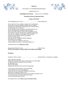

*Welcome*

*Cary Dupont '72, President/Chief Administrator*

*Gabriel Duncan '22*

# *Candlelight Processional* … *"Canon in D"* (J. Pachelbel)

### *Introductory Rite and Opening Prayer*

## *Liturgy of the Word*

*First Reading (Acts 16:11-15) ................................................. Keira Dubitsky '22*

*We set sail from Troas, making a straight run for Samothrace, and on the next day to Neapolis, and from there to Philippi, a leading city in that district of Macedonia and a Roman colony. We spent some time in that city. On the sabbath we went outside the city gate along the river where we thought there would be a place of prayer. We sat and spoke with the women who had gathered there. One of them, a woman named Lydia, a dealer in purple cloth, from the city of Thyatira, a worshiper of God, listened, and the Lord opened her heart to pay attention to what Paul was saying. After she and her household had been baptized, she offered us an invitation, "If you consider me a believer in the Lord, come and stay at my home," and she prevailed on us.*

The Word of the Lord: **Thanks be to God**

*Responsorial Psalm (Ps 118).................................................. Select Chorus* **R/ This is the day the Lord has made, let us rejoice and be glad.** 

### **R/ Alleluia**

*Gospel (Jn 15:26—16:4a)....................................................... Reverend Glen J. Dmytryszyn, Chaplain*

*Jesus said to his disciples: "When the Advocate comes whom I will send you from the Father, the Spirit of truth who proceeds from the Father, he will testify to me. And you also testify, because you have been with me from the beginning.*

*"I have told you this so that you may not fall away. They will expel you from the synagogues; in fact, the hour is coming when everyone who kills you will think he is offering worship to God. They will do this because they have not known either the Father or me. I have told you this so that when their hour comes you may remember that I told you."*

The Gospel of the Lord: **Praise to you Lord Jesus Christ**

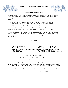

*Homilist…… The Most Reverend Leonard P. Blair, S.T.D.*



*Prayer of the Faithful…William Kurnik '22 and Olivia Belfonti '22*

# *Response:* **Lord, hear our prayer.**

May Pope Francis, Archbishop Blair, Bishop Betancourt, Father Gancarz, Father Whyte, Father Dietrich, Father Glen, Father Przygocki and all the faithful be a source of enlightenment and guidance for all, especially for those who have lost sight of God's presence in their lives, we pray, **"Lord, hear our prayer."**

In Eucharistic thanksgiving for the Class of 2022 and for our family and friends, may the light of the Gospel shine through us as we discern God's call in our lives, and may we have the strength to be witnesses of Christ in our world, we pray: **"Lord, hear our prayer."**

For the St. Paul administration, faculty, staff, coaches and benefactors, and for all those who have shown us patience and love along our journey of faith and learning, we pray: **"Lord, hear our prayer."**

As we bring to the altar today all those who are suffering and those who care for them, those who have died, and those who are grieving, may Christ's Presence in the Eucharist console them, and may those who have gone before us enter eternal life and intercede for us as our journeys continue, we pray, **"Lord, hear our prayer."**

#### *The Offertory*

*Presentation of the Gifts……………Gabriel Duncan '22*

| Class Act Award/Athletic Uniform  Nathan Stellmach '22, Sarah Lindquist '22 |  |
|-----------------------------------------------------------------------------|--|
|                                                                             |  |
|                                                                             |  |

*Presentation of the American Flag*

*Holden Crowther '22, Alex Deegan '22, Cameron Fabrizio '22 William Kelly '22, Brendan Poudrier '22, Matthew Sefcik '22*

*Heavenly Father, maker and lover of all, we ask you to bless the people of our country and of our school. Bless this flag and let it always remind us of the principles it stands for. Help us to work together in peace so that we may give you glory in our lives. We ask this grace, loving Father, through Christ our Lord, Amen.*

*(This flag will be presented to next year's senior class and fly over the school during the 2022-2023 academic year.)*